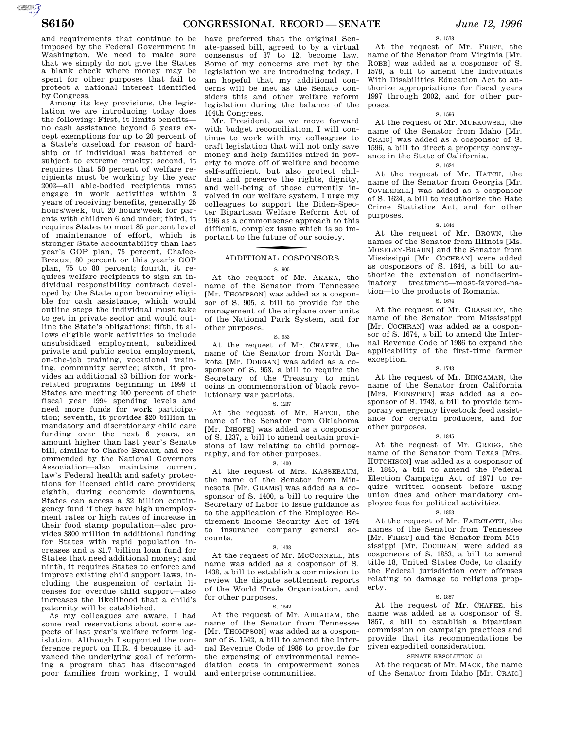S. 1578

and requirements that continue to be imposed by the Federal Government in Washington. We need to make sure that we simply do not give the States a blank check where money may be spent for other purposes that fail to protect a national interest identified by Congress.

Among its key provisions, the legislation we are introducing today does the following: First, it limits benefits no cash assistance beyond 5 years except exemptions for up to 20 percent of a State's caseload for reason of hardship or if individual was battered or subject to extreme cruelty; second, it requires that 50 percent of welfare recipients must be working by the year 2002—all able-bodied recipients must engage in work activities within 2 years of receiving benefits, generally 25 hours/week, but 20 hours/week for parents with children 6 and under; third, it requires States to meet 85 percent level of maintenance of effort, which is stronger State accountability than last year's GOP plan, 75 percent, Chafee-Breaux, 80 percent or this year's GOP plan, 75 to 80 percent; fourth, it requires welfare recipients to sign an individual responsibility contract developed by the State upon becoming eligible for cash assistance, which would outline steps the individual must take to get in private sector and would outline the State's obligations; fifth, it allows eligible work activities to include unsubsidized employment, subsidized private and public sector employment, on-the-job training, vocational training, community service; sixth, it provides an additional \$3 billion for workrelated programs beginning in 1999 if States are meeting 100 percent of their fiscal year 1994 spending levels and need more funds for work participation; seventh, it provides \$20 billion in mandatory and discretionary child care funding over the next 6 years, an amount higher than last year's Senate bill, similar to Chafee-Breaux, and recommended by the National Governors Association—also maintains current law's Federal health and safety protections for licensed child care providers; eighth, during economic downturns, States can access a \$2 billion contingency fund if they have high unemployment rates or high rates of increase in their food stamp population—also provides \$800 million in additional funding for States with rapid population increases and a \$1.7 billion loan fund for States that need additional money; and ninth, it requires States to enforce and improve existing child support laws, including the suspension of certain licenses for overdue child support—also increases the likelihood that a child's paternity will be established.

As my colleagues are aware, I had some real reservations about some aspects of last year's welfare reform legislation. Although I supported the conference report on H.R. 4 because it advanced the underlying goal of reforming a program that has discouraged poor families from working, I would

have preferred that the original Senate-passed bill, agreed to by a virtual consensus of 87 to 12, become law. Some of my concerns are met by the legislation we are introducing today. I am hopeful that my additional concerns will be met as the Senate considers this and other welfare reform legislation during the balance of the 104th Congress.

Mr. President, as we move forward with budget reconciliation, I will continue to work with my colleagues to craft legislation that will not only save money and help families mired in poverty to move off of welfare and become self-sufficient, but also protect children and preserve the rights, dignity, and well-being of those currently involved in our welfare system. I urge my colleagues to support the Biden-Specter Bipartisan Welfare Reform Act of 1996 as a commonsense approach to this difficult, complex issue which is so important to the future of our society.

# f ADDITIONAL COSPONSORS

## S. 905

At the request of Mr. AKAKA, the name of the Senator from Tennessee [Mr. THOMPSON] was added as a cosponsor of S. 905, a bill to provide for the management of the airplane over units of the National Park System, and for other purposes.

### S. 953

At the request of Mr. CHAFEE, the name of the Senator from North Dakota [Mr. DORGAN] was added as a cosponsor of S. 953, a bill to require the Secretary of the Treasury to mint coins in commemoration of black revolutionary war patriots.

### S. 1237

At the request of Mr. HATCH, the name of the Senator from Oklahoma [Mr. INHOFE] was added as a cosponsor of S. 1237, a bill to amend certain provisions of law relating to child pornography, and for other purposes.

### S. 1400

At the request of Mrs. KASSEBAUM, the name of the Senator from Minnesota [Mr. GRAMS] was added as a cosponsor of S. 1400, a bill to require the Secretary of Labor to issue guidance as to the application of the Employee Retirement Income Security Act of 1974 to insurance company general accounts.

### S. 1438

At the request of Mr. MCCONNELL, his name was added as a cosponsor of S. 1438, a bill to establish a commission to review the dispute settlement reports of the World Trade Organization, and for other purposes.

### S. 1542

At the request of Mr. ABRAHAM, the name of the Senator from Tennessee [Mr. THOMPSON] was added as a cosponsor of S. 1542, a bill to amend the Internal Revenue Code of 1986 to provide for the expensing of environmental remediation costs in empowerment zones and enterprise communities.

At the request of Mr. FRIST, the name of the Senator from Virginia [Mr. ROBB] was added as a cosponsor of S. 1578, a bill to amend the Individuals With Disabilities Education Act to authorize appropriations for fiscal years 1997 through 2002, and for other purposes.

### S. 1596

At the request of Mr. MURKOWSKI, the name of the Senator from Idaho [Mr. CRAIG] was added as a cosponsor of S. 1596, a bill to direct a property conveyance in the State of California.

### S. 1624

At the request of Mr. HATCH, the name of the Senator from Georgia [Mr. COVERDELL] was added as a cosponsor of S. 1624, a bill to reauthorize the Hate Crime Statistics Act, and for other purposes.

### S. 1644

At the request of Mr. BROWN, the names of the Senator from Illinois [Ms. MOSELEY-BRAUN] and the Senator from Mississippi [Mr. COCHRAN] were added as cosponsors of S. 1644, a bill to authorize the extension of nondiscriminatory treatment—most-favored-nation—to the products of Romania.

### S. 1674

At the request of Mr. GRASSLEY, the name of the Senator from Mississippi [Mr. COCHRAN] was added as a cosponsor of S. 1674, a bill to amend the Internal Revenue Code of 1986 to expand the applicability of the first-time farmer exception.

### S. 1743

At the request of Mr. BINGAMAN, the name of the Senator from California [Mrs. FEINSTEIN] was added as a cosponsor of S. 1743, a bill to provide temporary emergency livestock feed assistance for certain producers, and for other purposes.

### S. 1845

At the request of Mr. GREGG, the name of the Senator from Texas [Mrs. HUTCHISON] was added as a cosponsor of S. 1845, a bill to amend the Federal Election Campaign Act of 1971 to require written consent before using union dues and other mandatory employee fees for political activities.

### S. 1853

At the request of Mr. FAIRCLOTH, the names of the Senator from Tennessee [Mr. FRIST] and the Senator from Mississippi [Mr. COCHRAN] were added as cosponsors of S. 1853, a bill to amend title 18, United States Code, to clarify the Federal jurisdiction over offenses relating to damage to religious property.

### S. 1857

At the request of Mr. CHAFEE, his name was added as a cosponsor of S. 1857, a bill to establish a bipartisan commission on campaign practices and provide that its recommendations be given expedited consideration.

### SENATE RESOLUTION 151

At the request of Mr. MACK, the name of the Senator from Idaho [Mr. CRAIG]